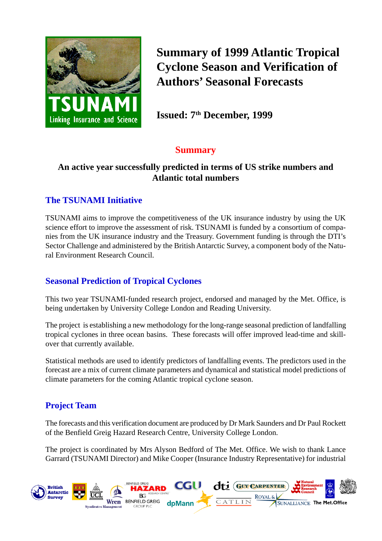

**Summary of 1999 Atlantic Tropical Cyclone Season and Verification of Authors' Seasonal Forecasts**

**Issued: 7<sup>th</sup> December, 1999** 

## **Summary**

#### **An active year successfully predicted in terms of US strike numbers and Atlantic total numbers**

### **The TSUNAMI Initiative**

TSUNAMI aims to improve the competitiveness of the UK insurance industry by using the UK science effort to improve the assessment of risk. TSUNAMI is funded by a consortium of companies from the UK insurance industry and the Treasury. Government funding is through the DTI's Sector Challenge and administered by the British Antarctic Survey, a component body of the Natural Environment Research Council.

### **Seasonal Prediction of Tropical Cyclones**

This two year TSUNAMI-funded research project, endorsed and managed by the Met. Office, is being undertaken by University College London and Reading University.

The project is establishing a new methodology for the long-range seasonal prediction of landfalling tropical cyclones in three ocean basins. These forecasts will offer improved lead-time and skillover that currently available.

Statistical methods are used to identify predictors of landfalling events. The predictors used in the forecast are a mix of current climate parameters and dynamical and statistical model predictions of climate parameters for the coming Atlantic tropical cyclone season.

## **Project Team**

The forecasts and this verification document are produced by Dr Mark Saunders and Dr Paul Rockett of the Benfield Greig Hazard Research Centre, University College London.

The project is coordinated by Mrs Alyson Bedford of The Met. Office. We wish to thank Lance Garrard (TSUNAMI Director) and Mike Cooper (Insurance Industry Representative) for industrial

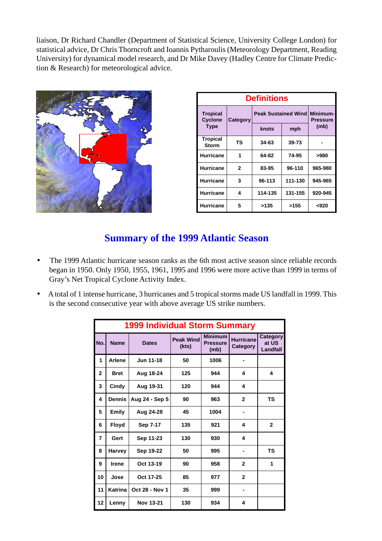liaison, Dr Richard Chandler (Department of Statistical Science, University College London) for statistical advice, Dr Chris Thorncroft and Ioannis Pytharoulis (Meteorology Department, Reading University) for dynamical model research, and Dr Mike Davey (Hadley Centre for Climate Prediction & Research) for meteorological advice.



| <b>Definitions</b>                |              |                            |                             |         |
|-----------------------------------|--------------|----------------------------|-----------------------------|---------|
| <b>Tropical</b><br><b>Cyclone</b> | Category     | <b>Peak Sustained Wind</b> | Minimum-<br><b>Pressure</b> |         |
| <b>Type</b>                       |              | knots                      | mph                         | (mb)    |
| <b>Tropical</b><br><b>Storm</b>   | ΤS           | 34-63                      | $39 - 73$                   |         |
| <b>Hurricane</b>                  | 1            | 64-82                      | 74-95                       | >980    |
| <b>Hurricane</b>                  | $\mathbf{2}$ | 83-95                      | 96-110                      | 965-980 |
| <b>Hurricane</b>                  | 3            | 96-113                     | 111-130                     | 945-965 |
| <b>Hurricane</b>                  | 4            | 114-135                    | 131-155                     | 920-945 |
| <b>Hurricane</b>                  | 5            | >135                       | >155                        | <920    |

## **Summary of the 1999 Atlantic Season**

- The 1999 Atlantic hurricane season ranks as the 6th most active season since reliable records began in 1950. Only 1950, 1955, 1961, 1995 and 1996 were more active than 1999 in terms of Gray's Net Tropical Cyclone Activity Index.
- A total of 1 intense hurricane, 3 hurricanes and 5 tropical storms made US landfall in 1999. This is the second consecutive year with above average US strike numbers.

| <b>1999 Individual Storm Summary</b> |               |                       |                           |                                           |                              |                                      |
|--------------------------------------|---------------|-----------------------|---------------------------|-------------------------------------------|------------------------------|--------------------------------------|
| No.                                  | <b>Name</b>   | <b>Dates</b>          | <b>Peak Wind</b><br>(kts) | <b>Minimum</b><br><b>Pressure</b><br>(mb) | <b>Hurricane</b><br>Category | Category<br>at US<br><b>Landfall</b> |
| 1                                    | Arlene        | Jun 11-18             | 50                        | 1006                                      |                              |                                      |
| $\mathbf{2}$                         | <b>Bret</b>   | Aug 18-24             | 125                       | 944                                       | 4                            | 4                                    |
| 3                                    | Cindy         | Aug 19-31             | 120                       | 944                                       | 4                            |                                      |
| 4                                    | <b>Dennis</b> | Aug 24 - Sep 5        | 90                        | 963                                       | $\overline{2}$               | <b>TS</b>                            |
| 5                                    | <b>Emily</b>  | Aug 24-28             | 45                        | 1004                                      |                              |                                      |
| 6                                    | <b>Floyd</b>  | Sep 7-17              | 135                       | 921                                       | 4                            | $\mathbf{2}$                         |
| $\overline{7}$                       | Gert          | Sep 11-23             | 130                       | 930                                       | 4                            |                                      |
| 8                                    | Harvey        | Sep 19-22             | 50                        | 995                                       |                              | <b>TS</b>                            |
| 9                                    | <b>Irene</b>  | Oct 13-19             | 90                        | 958                                       | $\mathbf{2}$                 | 1                                    |
| 10                                   | Jose          | Oct 17-25             | 85                        | 977                                       | $\overline{2}$               |                                      |
| 11                                   | Katrina       | <b>Oct 28 - Nov 1</b> | 35                        | 999                                       |                              |                                      |
| 12                                   | Lenny         | <b>Nov 13-21</b>      | 130                       | 934                                       | 4                            |                                      |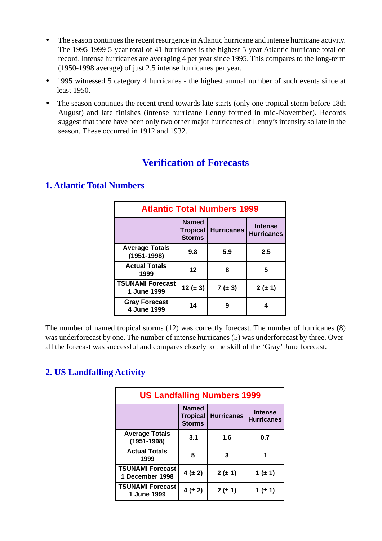- The season continues the recent resurgence in Atlantic hurricane and intense hurricane activity. The 1995-1999 5-year total of 41 hurricanes is the highest 5-year Atlantic hurricane total on record. Intense hurricanes are averaging 4 per year since 1995. This compares to the long-term (1950-1998 average) of just 2.5 intense hurricanes per year.
- 1995 witnessed 5 category 4 hurricanes the highest annual number of such events since at least 1950.
- The season continues the recent trend towards late starts (only one tropical storm before 18th August) and late finishes (intense hurricane Lenny formed in mid-November). Records suggest that there have been only two other major hurricanes of Lenny's intensity so late in the season. These occurred in 1912 and 1932.

# **Verification of Forecasts**

| <b>Atlantic Total Numbers 1999</b>       |                                                  |                   |                                     |  |
|------------------------------------------|--------------------------------------------------|-------------------|-------------------------------------|--|
|                                          | <b>Named</b><br><b>Tropical</b><br><b>Storms</b> | <b>Hurricanes</b> | <b>Intense</b><br><b>Hurricanes</b> |  |
| <b>Average Totals</b><br>$(1951 - 1998)$ | 9.8                                              | 5.9               | 2.5                                 |  |
| <b>Actual Totals</b><br>1999             | $12 \,$                                          | 8                 | 5                                   |  |
| <b>TSUNAMI Forecast</b><br>1 June 1999   | 12 ( $\pm$ 3)                                    | $7 (\pm 3)$       | $2(\pm 1)$                          |  |
| <b>Gray Forecast</b><br>4 June 1999      | 14                                               | g                 | 4                                   |  |

#### **1. Atlantic Total Numbers**

The number of named tropical storms (12) was correctly forecast. The number of hurricanes (8) was underforecast by one. The number of intense hurricanes (5) was underforecast by three. Overall the forecast was successful and compares closely to the skill of the 'Gray' June forecast.

## **2. US Landfalling Activity**

| <b>US Landfalling Numbers 1999</b>         |                                                  |                   |                                     |  |
|--------------------------------------------|--------------------------------------------------|-------------------|-------------------------------------|--|
|                                            | <b>Named</b><br><b>Tropical</b><br><b>Storms</b> | <b>Hurricanes</b> | <b>Intense</b><br><b>Hurricanes</b> |  |
| <b>Average Totals</b><br>$(1951 - 1998)$   | 3.1                                              | 1.6               | 0.7                                 |  |
| <b>Actual Totals</b><br>1999               | 5                                                | 3                 |                                     |  |
| <b>TSUNAMI Forecast</b><br>1 December 1998 | $4 (\pm 2)$                                      | $2(\pm 1)$        | 1 ( $\pm$ 1)                        |  |
| <b>TSUNAMI Forecast</b><br>1 June 1999     | $4(\pm 2)$                                       | $2(\pm 1)$        | 1 ( $\pm$ 1)                        |  |